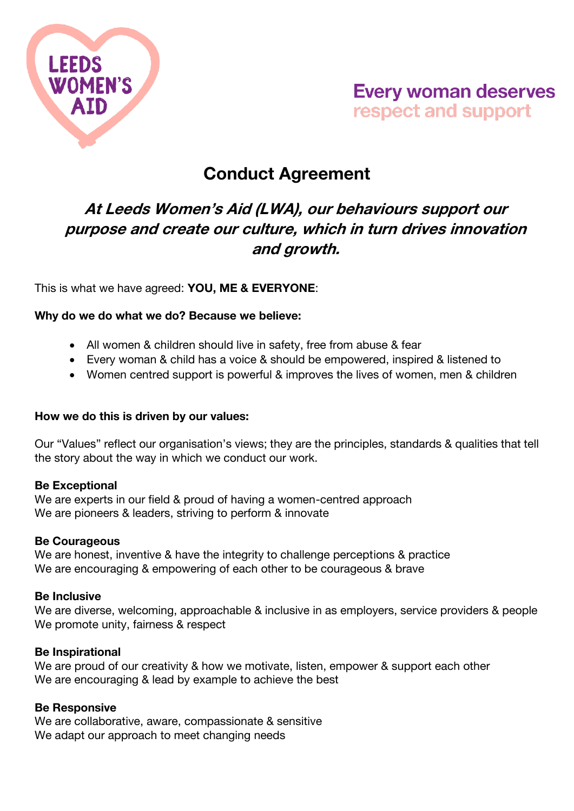

# **Every woman deserves** respect and support

# Conduct Agreement

### At Leeds Women's Aid (LWA), our behaviours support our purpose and create our culture, which in turn drives innovation and growth.

This is what we have agreed: YOU, ME & EVERYONE:

#### Why do we do what we do? Because we believe:

- All women & children should live in safety, free from abuse & fear
- Every woman & child has a voice & should be empowered, inspired & listened to
- Women centred support is powerful & improves the lives of women, men & children

#### How we do this is driven by our values:

Our "Values" reflect our organisation's views; they are the principles, standards & qualities that tell the story about the way in which we conduct our work.

#### Be Exceptional

We are experts in our field & proud of having a women-centred approach We are pioneers & leaders, striving to perform & innovate

#### Be Courageous

We are honest, inventive & have the integrity to challenge perceptions & practice We are encouraging & empowering of each other to be courageous & brave

#### Be Inclusive

We are diverse, welcoming, approachable & inclusive in as employers, service providers & people We promote unity, fairness & respect

#### Be Inspirational

We are proud of our creativity & how we motivate, listen, empower & support each other We are encouraging & lead by example to achieve the best

#### Be Responsive

We are collaborative, aware, compassionate & sensitive We adapt our approach to meet changing needs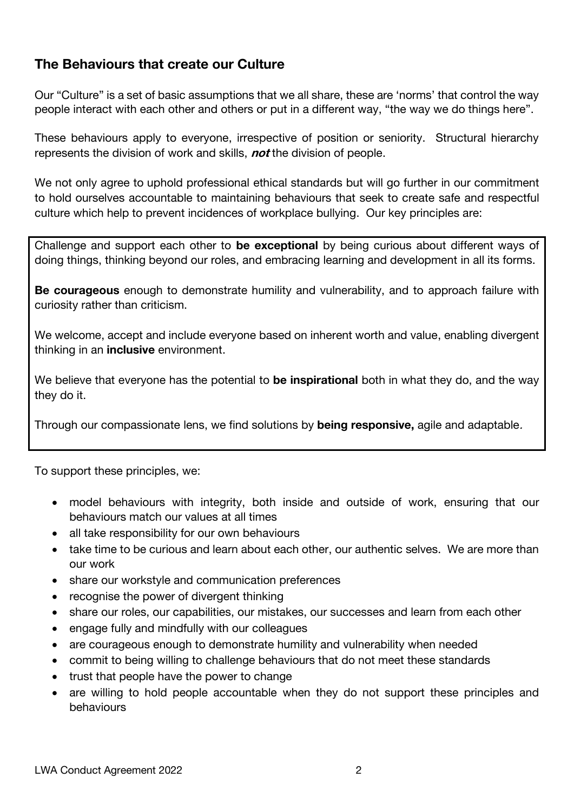### The Behaviours that create our Culture

Our "Culture" is a set of basic assumptions that we all share, these are 'norms' that control the way people interact with each other and others or put in a different way, "the way we do things here".

These behaviours apply to everyone, irrespective of position or seniority. Structural hierarchy represents the division of work and skills, **not** the division of people.

We not only agree to uphold professional ethical standards but will go further in our commitment to hold ourselves accountable to maintaining behaviours that seek to create safe and respectful culture which help to prevent incidences of workplace bullying. Our key principles are:

Challenge and support each other to be exceptional by being curious about different ways of doing things, thinking beyond our roles, and embracing learning and development in all its forms.

Be courageous enough to demonstrate humility and vulnerability, and to approach failure with curiosity rather than criticism.

We welcome, accept and include everyone based on inherent worth and value, enabling divergent thinking in an **inclusive** environment.

We believe that everyone has the potential to be inspirational both in what they do, and the way they do it.

Through our compassionate lens, we find solutions by being responsive, agile and adaptable.

To support these principles, we:

- model behaviours with integrity, both inside and outside of work, ensuring that our behaviours match our values at all times
- all take responsibility for our own behaviours
- take time to be curious and learn about each other, our authentic selves. We are more than our work
- share our workstyle and communication preferences
- recognise the power of divergent thinking
- share our roles, our capabilities, our mistakes, our successes and learn from each other
- engage fully and mindfully with our colleagues
- are courageous enough to demonstrate humility and vulnerability when needed
- commit to being willing to challenge behaviours that do not meet these standards
- trust that people have the power to change
- are willing to hold people accountable when they do not support these principles and behaviours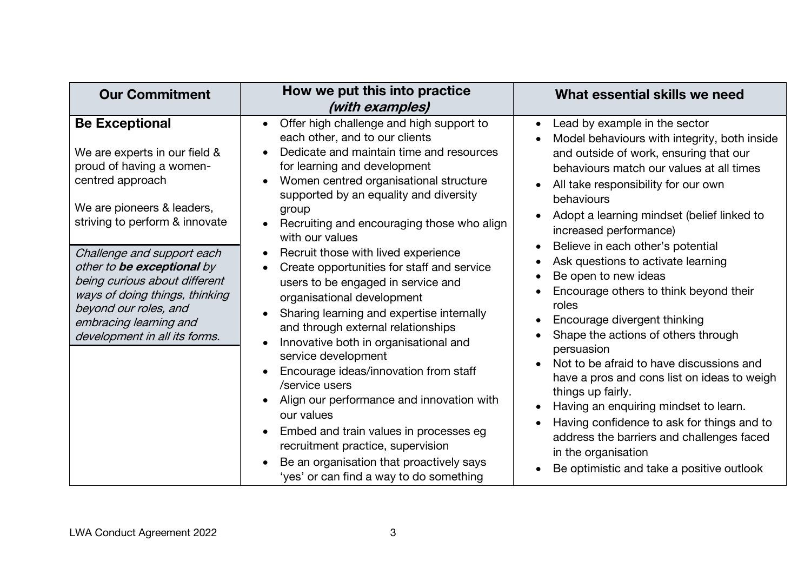| <b>Our Commitment</b>                                                                                                                                                                                                                                                                                                                                                                     | How we put this into practice<br>(with examples)                                                                                                                                                                                                                                                                                                                                                                                                                                                                                                                                                                                                                                                                                                                                                                                                                                                                                                                                                                                     | What essential skills we need                                                                                                                                                                                                                                                                                                                                                                                                                                                                                                                                                                                                                                                                                                                                                                                                                                       |
|-------------------------------------------------------------------------------------------------------------------------------------------------------------------------------------------------------------------------------------------------------------------------------------------------------------------------------------------------------------------------------------------|--------------------------------------------------------------------------------------------------------------------------------------------------------------------------------------------------------------------------------------------------------------------------------------------------------------------------------------------------------------------------------------------------------------------------------------------------------------------------------------------------------------------------------------------------------------------------------------------------------------------------------------------------------------------------------------------------------------------------------------------------------------------------------------------------------------------------------------------------------------------------------------------------------------------------------------------------------------------------------------------------------------------------------------|---------------------------------------------------------------------------------------------------------------------------------------------------------------------------------------------------------------------------------------------------------------------------------------------------------------------------------------------------------------------------------------------------------------------------------------------------------------------------------------------------------------------------------------------------------------------------------------------------------------------------------------------------------------------------------------------------------------------------------------------------------------------------------------------------------------------------------------------------------------------|
| <b>Be Exceptional</b><br>We are experts in our field &<br>proud of having a women-<br>centred approach<br>We are pioneers & leaders,<br>striving to perform & innovate<br>Challenge and support each<br>other to be exceptional by<br>being curious about different<br>ways of doing things, thinking<br>beyond our roles, and<br>embracing learning and<br>development in all its forms. | Offer high challenge and high support to<br>$\bullet$<br>each other, and to our clients<br>Dedicate and maintain time and resources<br>$\bullet$<br>for learning and development<br>Women centred organisational structure<br>$\bullet$<br>supported by an equality and diversity<br>group<br>Recruiting and encouraging those who align<br>$\bullet$<br>with our values<br>Recruit those with lived experience<br>$\bullet$<br>Create opportunities for staff and service<br>$\bullet$<br>users to be engaged in service and<br>organisational development<br>Sharing learning and expertise internally<br>and through external relationships<br>Innovative both in organisational and<br>$\bullet$<br>service development<br>Encourage ideas/innovation from staff<br>$\bullet$<br>/service users<br>Align our performance and innovation with<br>our values<br>Embed and train values in processes eg<br>recruitment practice, supervision<br>Be an organisation that proactively says<br>'yes' or can find a way to do something | Lead by example in the sector<br>Model behaviours with integrity, both inside<br>and outside of work, ensuring that our<br>behaviours match our values at all times<br>All take responsibility for our own<br>behaviours<br>Adopt a learning mindset (belief linked to<br>increased performance)<br>Believe in each other's potential<br>Ask questions to activate learning<br>Be open to new ideas<br>Encourage others to think beyond their<br>roles<br>Encourage divergent thinking<br>Shape the actions of others through<br>persuasion<br>Not to be afraid to have discussions and<br>have a pros and cons list on ideas to weigh<br>things up fairly.<br>Having an enquiring mindset to learn.<br>Having confidence to ask for things and to<br>address the barriers and challenges faced<br>in the organisation<br>Be optimistic and take a positive outlook |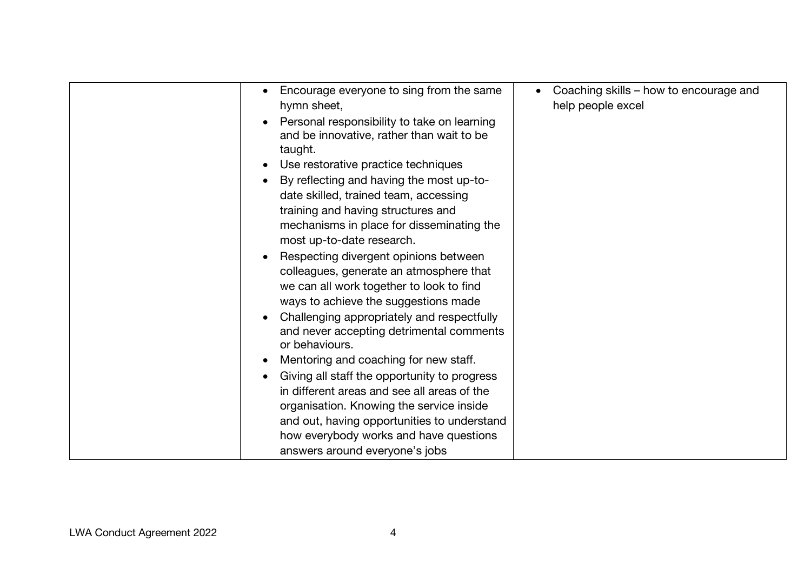| Encourage everyone to sing from the same<br>hymn sheet,                                                  | Coaching skills – how to encourage and<br>help people excel |
|----------------------------------------------------------------------------------------------------------|-------------------------------------------------------------|
| Personal responsibility to take on learning                                                              |                                                             |
| and be innovative, rather than wait to be<br>taught.                                                     |                                                             |
| Use restorative practice techniques                                                                      |                                                             |
| By reflecting and having the most up-to-                                                                 |                                                             |
| date skilled, trained team, accessing                                                                    |                                                             |
| training and having structures and                                                                       |                                                             |
| mechanisms in place for disseminating the                                                                |                                                             |
| most up-to-date research.                                                                                |                                                             |
| Respecting divergent opinions between                                                                    |                                                             |
| colleagues, generate an atmosphere that                                                                  |                                                             |
| we can all work together to look to find                                                                 |                                                             |
| ways to achieve the suggestions made                                                                     |                                                             |
| Challenging appropriately and respectfully<br>and never accepting detrimental comments<br>or behaviours. |                                                             |
| Mentoring and coaching for new staff.                                                                    |                                                             |
| Giving all staff the opportunity to progress                                                             |                                                             |
| in different areas and see all areas of the                                                              |                                                             |
| organisation. Knowing the service inside                                                                 |                                                             |
| and out, having opportunities to understand                                                              |                                                             |
| how everybody works and have questions                                                                   |                                                             |
| answers around everyone's jobs                                                                           |                                                             |
|                                                                                                          |                                                             |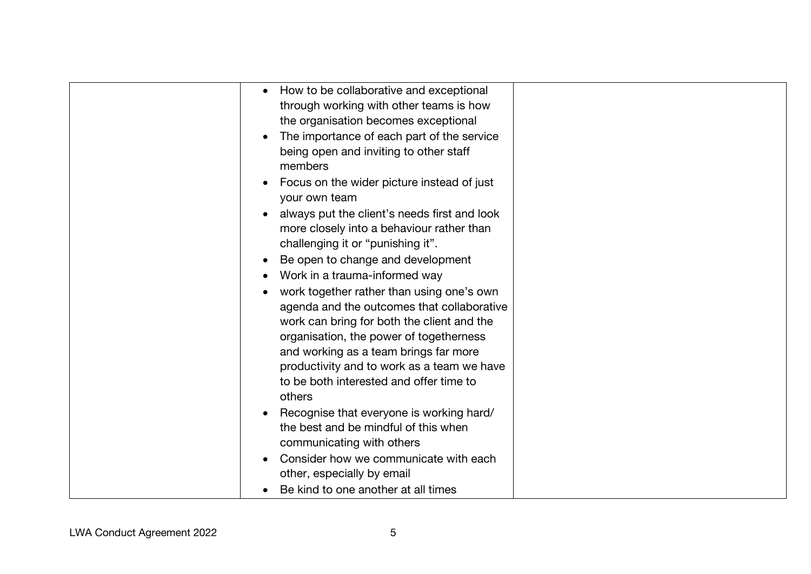| How to be collaborative and exceptional      |  |
|----------------------------------------------|--|
| through working with other teams is how      |  |
| the organisation becomes exceptional         |  |
| The importance of each part of the service   |  |
| being open and inviting to other staff       |  |
| members                                      |  |
| Focus on the wider picture instead of just   |  |
| your own team                                |  |
| always put the client's needs first and look |  |
| more closely into a behaviour rather than    |  |
| challenging it or "punishing it".            |  |
|                                              |  |
| Be open to change and development            |  |
| Work in a trauma-informed way                |  |
| work together rather than using one's own    |  |
| agenda and the outcomes that collaborative   |  |
| work can bring for both the client and the   |  |
| organisation, the power of togetherness      |  |
| and working as a team brings far more        |  |
| productivity and to work as a team we have   |  |
| to be both interested and offer time to      |  |
| others                                       |  |
| Recognise that everyone is working hard/     |  |
| the best and be mindful of this when         |  |
| communicating with others                    |  |
| Consider how we communicate with each        |  |
| other, especially by email                   |  |
| Be kind to one another at all times          |  |
|                                              |  |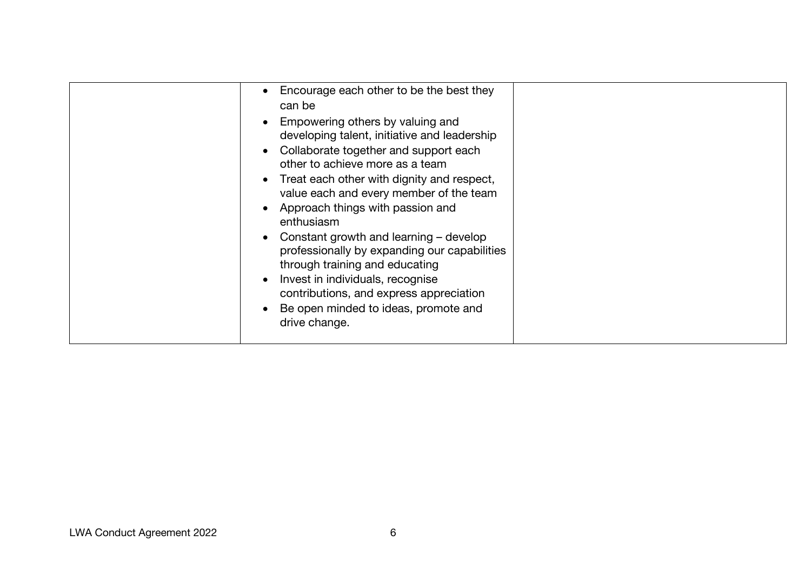| Encourage each other to be the best they<br>can be<br>Empowering others by valuing and<br>developing talent, initiative and leadership<br>Collaborate together and support each<br>other to achieve more as a team<br>Treat each other with dignity and respect,<br>value each and every member of the team<br>Approach things with passion and<br>enthusiasm<br>Constant growth and learning – develop<br>professionally by expanding our capabilities<br>through training and educating<br>Invest in individuals, recognise<br>contributions, and express appreciation<br>Be open minded to ideas, promote and |  |
|------------------------------------------------------------------------------------------------------------------------------------------------------------------------------------------------------------------------------------------------------------------------------------------------------------------------------------------------------------------------------------------------------------------------------------------------------------------------------------------------------------------------------------------------------------------------------------------------------------------|--|
| drive change.                                                                                                                                                                                                                                                                                                                                                                                                                                                                                                                                                                                                    |  |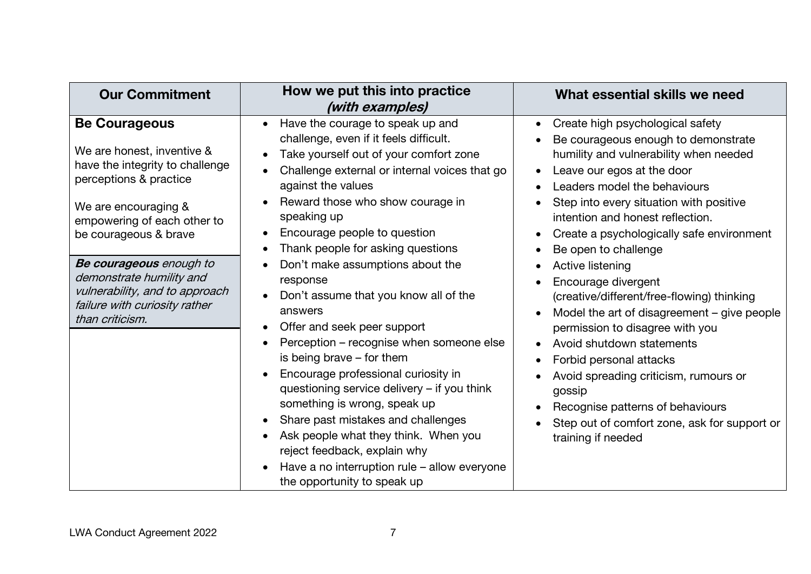| <b>Our Commitment</b>                                                                                                                                                                                                                                                                                                                        | How we put this into practice<br>(with examples)                                                                                                                                                                                                                                                                                                                                                                                                                                                                                                                                                                                                                                                                                                                                                                                                                                                                                                             | What essential skills we need                                                                                                                                                                                                                                                                                                                                                                                                                                                                                                                                                                                                                                                                                                                    |
|----------------------------------------------------------------------------------------------------------------------------------------------------------------------------------------------------------------------------------------------------------------------------------------------------------------------------------------------|--------------------------------------------------------------------------------------------------------------------------------------------------------------------------------------------------------------------------------------------------------------------------------------------------------------------------------------------------------------------------------------------------------------------------------------------------------------------------------------------------------------------------------------------------------------------------------------------------------------------------------------------------------------------------------------------------------------------------------------------------------------------------------------------------------------------------------------------------------------------------------------------------------------------------------------------------------------|--------------------------------------------------------------------------------------------------------------------------------------------------------------------------------------------------------------------------------------------------------------------------------------------------------------------------------------------------------------------------------------------------------------------------------------------------------------------------------------------------------------------------------------------------------------------------------------------------------------------------------------------------------------------------------------------------------------------------------------------------|
| <b>Be Courageous</b><br>We are honest, inventive &<br>have the integrity to challenge<br>perceptions & practice<br>We are encouraging &<br>empowering of each other to<br>be courageous & brave<br>Be courageous enough to<br>demonstrate humility and<br>vulnerability, and to approach<br>failure with curiosity rather<br>than criticism. | Have the courage to speak up and<br>$\bullet$<br>challenge, even if it feels difficult.<br>Take yourself out of your comfort zone<br>$\bullet$<br>Challenge external or internal voices that go<br>$\bullet$<br>against the values<br>Reward those who show courage in<br>speaking up<br>Encourage people to question<br>$\bullet$<br>Thank people for asking questions<br>$\bullet$<br>Don't make assumptions about the<br>$\bullet$<br>response<br>Don't assume that you know all of the<br>answers<br>Offer and seek peer support<br>Perception – recognise when someone else<br>is being brave $-$ for them<br>Encourage professional curiosity in<br>$\bullet$<br>questioning service delivery - if you think<br>something is wrong, speak up<br>Share past mistakes and challenges<br>$\bullet$<br>Ask people what they think. When you<br>reject feedback, explain why<br>Have a no interruption rule – allow everyone<br>the opportunity to speak up | Create high psychological safety<br>Be courageous enough to demonstrate<br>humility and vulnerability when needed<br>Leave our egos at the door<br>$\bullet$<br>Leaders model the behaviours<br>Step into every situation with positive<br>intention and honest reflection.<br>Create a psychologically safe environment<br>Be open to challenge<br>Active listening<br>Encourage divergent<br>(creative/different/free-flowing) thinking<br>Model the art of disagreement – give people<br>permission to disagree with you<br>Avoid shutdown statements<br>Forbid personal attacks<br>Avoid spreading criticism, rumours or<br>gossip<br>Recognise patterns of behaviours<br>Step out of comfort zone, ask for support or<br>training if needed |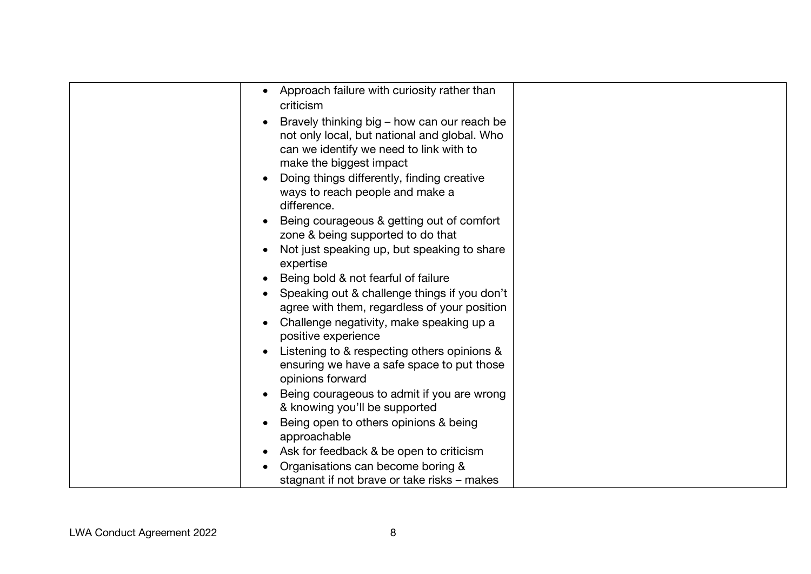| Approach failure with curiosity rather than<br>$\bullet$<br>criticism<br>Bravely thinking big – how can our reach be<br>not only local, but national and global. Who<br>can we identify we need to link with to<br>make the biggest impact<br>Doing things differently, finding creative<br>ways to reach people and make a<br>difference.<br>Being courageous & getting out of comfort<br>zone & being supported to do that<br>Not just speaking up, but speaking to share<br>expertise<br>Being bold & not fearful of failure<br>Speaking out & challenge things if you don't<br>agree with them, regardless of your position<br>Challenge negativity, make speaking up a<br>positive experience<br>Listening to & respecting others opinions &<br>ensuring we have a safe space to put those<br>opinions forward<br>Being courageous to admit if you are wrong |  |
|-------------------------------------------------------------------------------------------------------------------------------------------------------------------------------------------------------------------------------------------------------------------------------------------------------------------------------------------------------------------------------------------------------------------------------------------------------------------------------------------------------------------------------------------------------------------------------------------------------------------------------------------------------------------------------------------------------------------------------------------------------------------------------------------------------------------------------------------------------------------|--|
| & knowing you'll be supported<br>Being open to others opinions & being                                                                                                                                                                                                                                                                                                                                                                                                                                                                                                                                                                                                                                                                                                                                                                                            |  |
| approachable                                                                                                                                                                                                                                                                                                                                                                                                                                                                                                                                                                                                                                                                                                                                                                                                                                                      |  |
| Ask for feedback & be open to criticism<br>Organisations can become boring &<br>stagnant if not brave or take risks – makes                                                                                                                                                                                                                                                                                                                                                                                                                                                                                                                                                                                                                                                                                                                                       |  |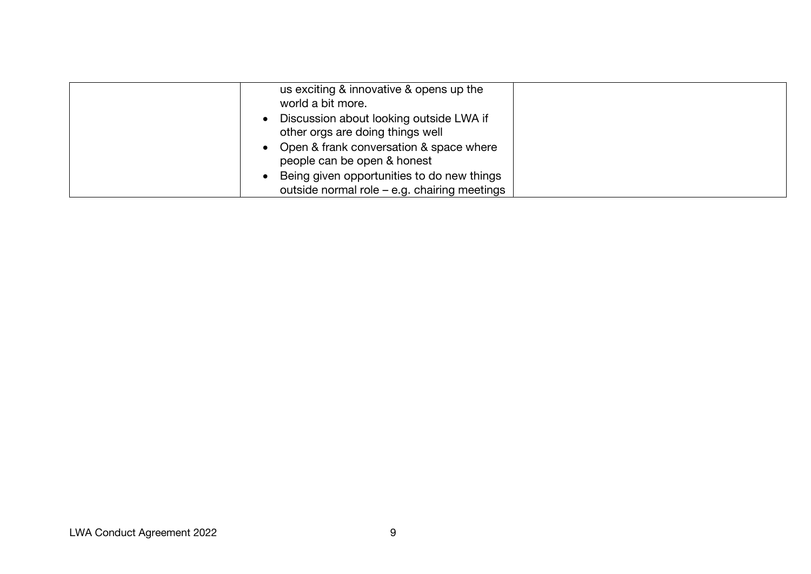| us exciting & innovative & opens up the<br>world a bit more.                               |  |
|--------------------------------------------------------------------------------------------|--|
| Discussion about looking outside LWA if<br>other orgs are doing things well                |  |
| • Open & frank conversation & space where<br>people can be open & honest                   |  |
| Being given opportunities to do new things<br>outside normal role - e.g. chairing meetings |  |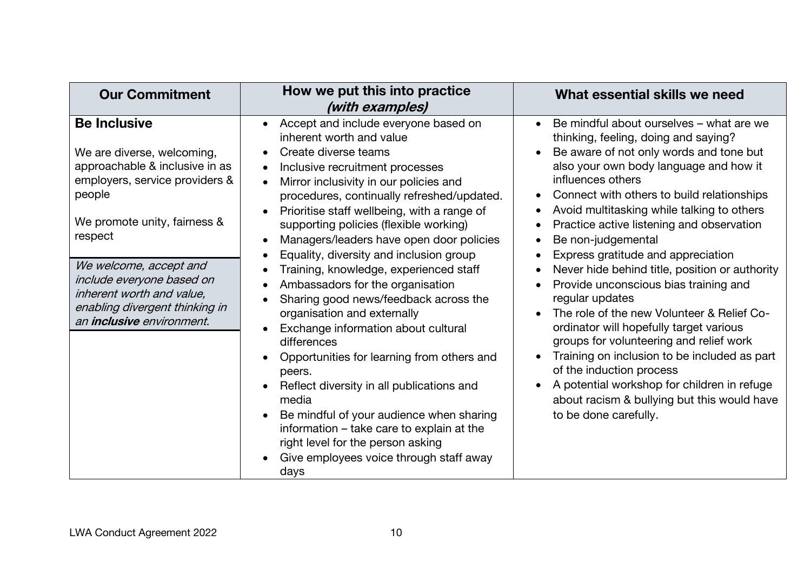| <b>Our Commitment</b>                                                                                                                                                                                                                                                                                                         | How we put this into practice<br>(with examples)                                                                                                                                                                                                                                                                                                                                                                                                                                                                                                                                                                                                                                                                                                                                                                                                                                                                                                                                                                                              | What essential skills we need                                                                                                                                                                                                                                                                                                                                                                                                                                                                                                                                                                                                                                                                                                                                                                                                                        |
|-------------------------------------------------------------------------------------------------------------------------------------------------------------------------------------------------------------------------------------------------------------------------------------------------------------------------------|-----------------------------------------------------------------------------------------------------------------------------------------------------------------------------------------------------------------------------------------------------------------------------------------------------------------------------------------------------------------------------------------------------------------------------------------------------------------------------------------------------------------------------------------------------------------------------------------------------------------------------------------------------------------------------------------------------------------------------------------------------------------------------------------------------------------------------------------------------------------------------------------------------------------------------------------------------------------------------------------------------------------------------------------------|------------------------------------------------------------------------------------------------------------------------------------------------------------------------------------------------------------------------------------------------------------------------------------------------------------------------------------------------------------------------------------------------------------------------------------------------------------------------------------------------------------------------------------------------------------------------------------------------------------------------------------------------------------------------------------------------------------------------------------------------------------------------------------------------------------------------------------------------------|
| <b>Be Inclusive</b><br>We are diverse, welcoming,<br>approachable & inclusive in as<br>employers, service providers &<br>people<br>We promote unity, fairness &<br>respect<br>We welcome, accept and<br>include everyone based on<br>inherent worth and value,<br>enabling divergent thinking in<br>an inclusive environment. | Accept and include everyone based on<br>$\bullet$<br>inherent worth and value<br>Create diverse teams<br>$\bullet$<br>Inclusive recruitment processes<br>٠<br>Mirror inclusivity in our policies and<br>$\bullet$<br>procedures, continually refreshed/updated.<br>Prioritise staff wellbeing, with a range of<br>$\bullet$<br>supporting policies (flexible working)<br>Managers/leaders have open door policies<br>$\bullet$<br>Equality, diversity and inclusion group<br>٠<br>Training, knowledge, experienced staff<br>Ambassadors for the organisation<br>$\bullet$<br>Sharing good news/feedback across the<br>organisation and externally<br>Exchange information about cultural<br>$\bullet$<br>differences<br>Opportunities for learning from others and<br>peers.<br>Reflect diversity in all publications and<br>$\bullet$<br>media<br>Be mindful of your audience when sharing<br>$\bullet$<br>information - take care to explain at the<br>right level for the person asking<br>Give employees voice through staff away<br>days | Be mindful about ourselves – what are we<br>thinking, feeling, doing and saying?<br>Be aware of not only words and tone but<br>also your own body language and how it<br>influences others<br>Connect with others to build relationships<br>Avoid multitasking while talking to others<br>Practice active listening and observation<br>Be non-judgemental<br>Express gratitude and appreciation<br>Never hide behind title, position or authority<br>Provide unconscious bias training and<br>regular updates<br>The role of the new Volunteer & Relief Co-<br>ordinator will hopefully target various<br>groups for volunteering and relief work<br>Training on inclusion to be included as part<br>of the induction process<br>A potential workshop for children in refuge<br>about racism & bullying but this would have<br>to be done carefully. |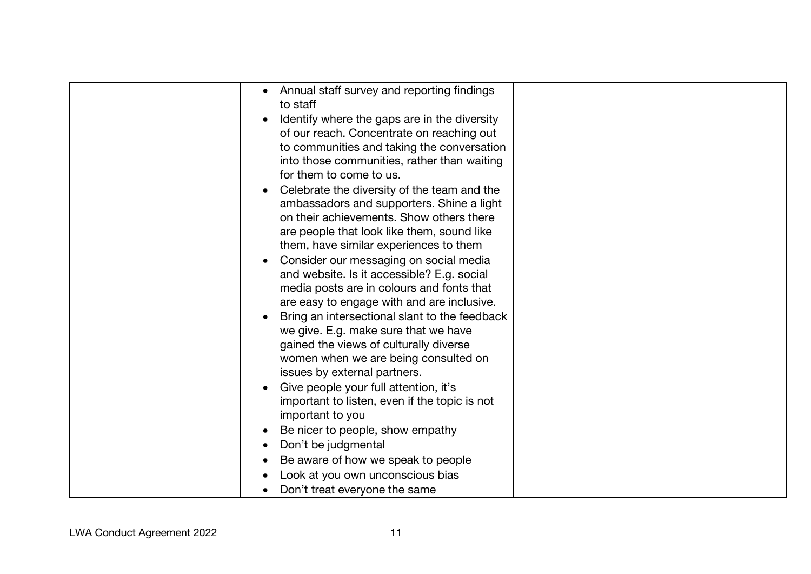| them, have similar experiences to them<br>Consider our messaging on social media<br>and website. Is it accessible? E.g. social<br>media posts are in colours and fonts that<br>are easy to engage with and are inclusive.<br>Bring an intersectional slant to the feedback<br>we give. E.g. make sure that we have<br>gained the views of culturally diverse<br>women when we are being consulted on<br>issues by external partners.<br>Give people your full attention, it's<br>important to listen, even if the topic is not |
|--------------------------------------------------------------------------------------------------------------------------------------------------------------------------------------------------------------------------------------------------------------------------------------------------------------------------------------------------------------------------------------------------------------------------------------------------------------------------------------------------------------------------------|
| important to you<br>Be nicer to people, show empathy<br>Don't be judgmental<br>Be aware of how we speak to people<br>Look at you own unconscious bias<br>Don't treat everyone the same                                                                                                                                                                                                                                                                                                                                         |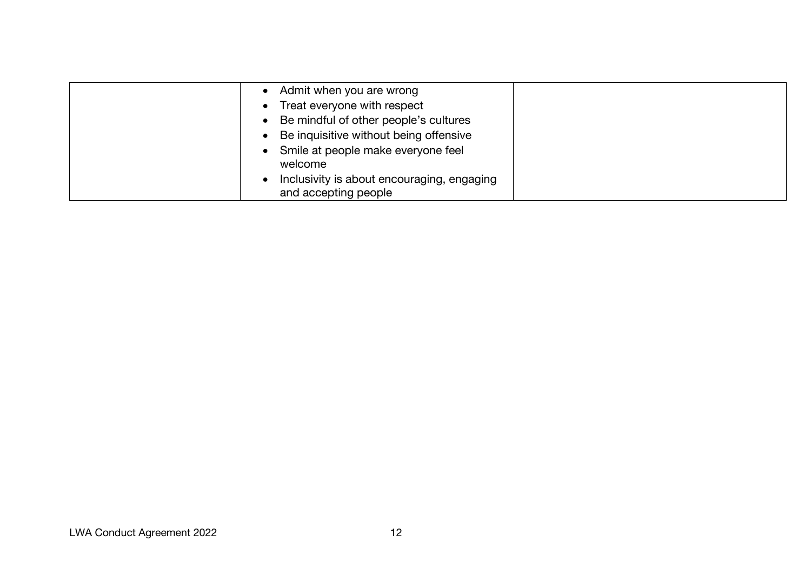| Admit when you are wrong                   |  |
|--------------------------------------------|--|
| Treat everyone with respect<br>$\bullet$   |  |
| • Be mindful of other people's cultures    |  |
| Be inquisitive without being offensive     |  |
| • Smile at people make everyone feel       |  |
| welcome                                    |  |
| Inclusivity is about encouraging, engaging |  |
| and accepting people                       |  |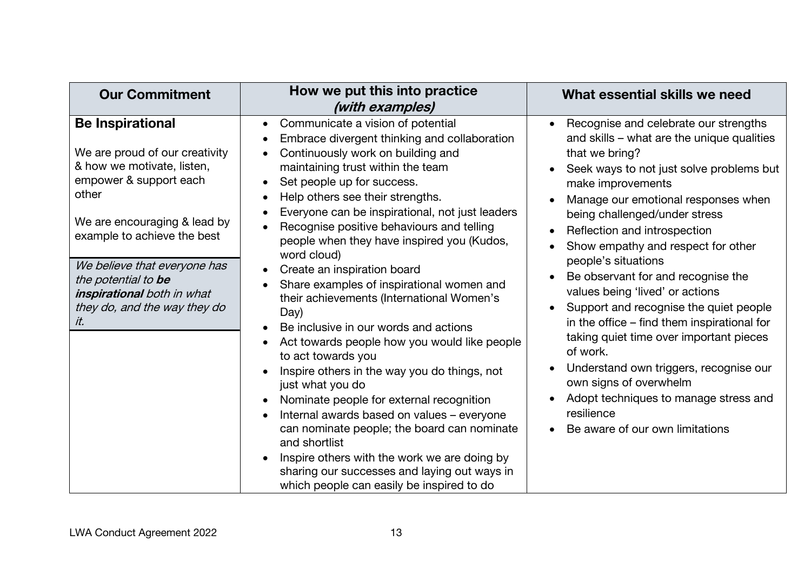| <b>Our Commitment</b>                                                                                                                                                                                                                                                                                                 | How we put this into practice<br>(with examples)                                                                                                                                                                                                                                                                                                                                                                                                                                                                                                                                                                                                                                                                                                                                                                                                                                                                                                                                                                                                                                                                                                                                  | What essential skills we need                                                                                                                                                                                                                                                                                                                                                                                                                                                                                                                                                                                                                                                                                                                                             |
|-----------------------------------------------------------------------------------------------------------------------------------------------------------------------------------------------------------------------------------------------------------------------------------------------------------------------|-----------------------------------------------------------------------------------------------------------------------------------------------------------------------------------------------------------------------------------------------------------------------------------------------------------------------------------------------------------------------------------------------------------------------------------------------------------------------------------------------------------------------------------------------------------------------------------------------------------------------------------------------------------------------------------------------------------------------------------------------------------------------------------------------------------------------------------------------------------------------------------------------------------------------------------------------------------------------------------------------------------------------------------------------------------------------------------------------------------------------------------------------------------------------------------|---------------------------------------------------------------------------------------------------------------------------------------------------------------------------------------------------------------------------------------------------------------------------------------------------------------------------------------------------------------------------------------------------------------------------------------------------------------------------------------------------------------------------------------------------------------------------------------------------------------------------------------------------------------------------------------------------------------------------------------------------------------------------|
| <b>Be Inspirational</b><br>We are proud of our creativity<br>& how we motivate, listen,<br>empower & support each<br>other<br>We are encouraging & lead by<br>example to achieve the best<br>We believe that everyone has<br>the potential to be<br>inspirational both in what<br>they do, and the way they do<br>it. | Communicate a vision of potential<br>$\bullet$<br>Embrace divergent thinking and collaboration<br>$\bullet$<br>Continuously work on building and<br>$\bullet$<br>maintaining trust within the team<br>Set people up for success.<br>$\bullet$<br>Help others see their strengths.<br>$\bullet$<br>Everyone can be inspirational, not just leaders<br>Recognise positive behaviours and telling<br>people when they have inspired you (Kudos,<br>word cloud)<br>Create an inspiration board<br>$\bullet$<br>Share examples of inspirational women and<br>their achievements (International Women's<br>Day)<br>Be inclusive in our words and actions<br>$\bullet$<br>Act towards people how you would like people<br>$\bullet$<br>to act towards you<br>Inspire others in the way you do things, not<br>$\bullet$<br>just what you do<br>Nominate people for external recognition<br>$\bullet$<br>Internal awards based on values - everyone<br>$\bullet$<br>can nominate people; the board can nominate<br>and shortlist<br>Inspire others with the work we are doing by<br>$\bullet$<br>sharing our successes and laying out ways in<br>which people can easily be inspired to do | Recognise and celebrate our strengths<br>and skills – what are the unique qualities<br>that we bring?<br>Seek ways to not just solve problems but<br>make improvements<br>Manage our emotional responses when<br>$\bullet$<br>being challenged/under stress<br>Reflection and introspection<br>$\bullet$<br>Show empathy and respect for other<br>people's situations<br>Be observant for and recognise the<br>$\bullet$<br>values being 'lived' or actions<br>Support and recognise the quiet people<br>in the office – find them inspirational for<br>taking quiet time over important pieces<br>of work.<br>Understand own triggers, recognise our<br>own signs of overwhelm<br>Adopt techniques to manage stress and<br>resilience<br>Be aware of our own limitations |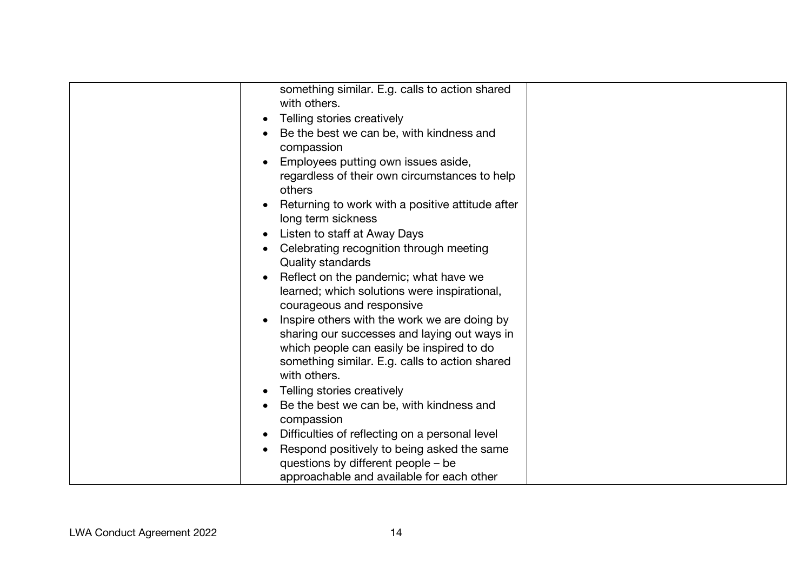| something similar. E.g. calls to action shared<br>with others.            |  |
|---------------------------------------------------------------------------|--|
| Telling stories creatively<br>$\bullet$                                   |  |
| Be the best we can be, with kindness and                                  |  |
| compassion                                                                |  |
| Employees putting own issues aside,<br>$\bullet$                          |  |
| regardless of their own circumstances to help<br>others                   |  |
| Returning to work with a positive attitude after<br>long term sickness    |  |
| Listen to staff at Away Days                                              |  |
| Celebrating recognition through meeting<br><b>Quality standards</b>       |  |
| Reflect on the pandemic; what have we                                     |  |
| learned; which solutions were inspirational,<br>courageous and responsive |  |
| Inspire others with the work we are doing by<br>$\bullet$                 |  |
| sharing our successes and laying out ways in                              |  |
| which people can easily be inspired to do                                 |  |
| something similar. E.g. calls to action shared<br>with others.            |  |
|                                                                           |  |
| Telling stories creatively                                                |  |
| Be the best we can be, with kindness and<br>compassion                    |  |
| Difficulties of reflecting on a personal level<br>$\bullet$               |  |
| Respond positively to being asked the same                                |  |
| questions by different people – be                                        |  |
| approachable and available for each other                                 |  |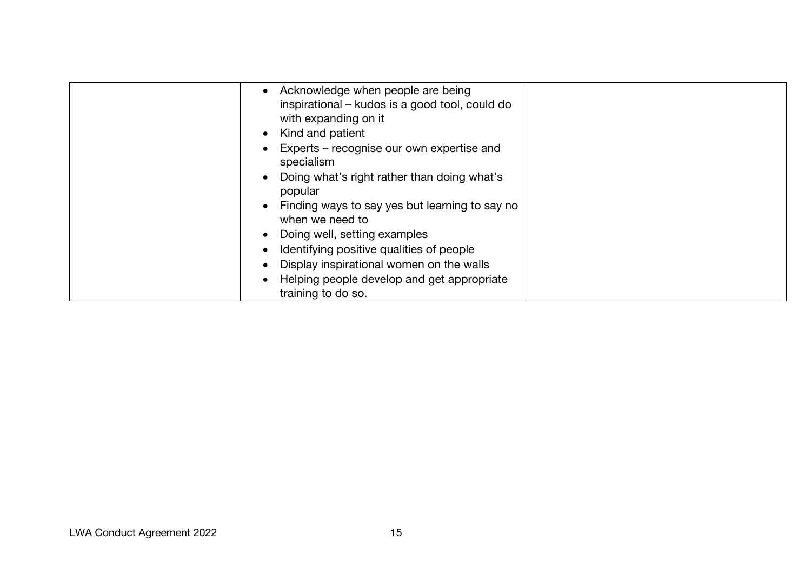| Acknowledge when people are being                                 |
|-------------------------------------------------------------------|
| inspirational – kudos is a good tool, could do                    |
| with expanding on it                                              |
| Kind and patient<br>$\bullet$                                     |
| Experts – recognise our own expertise and<br>specialism           |
| Doing what's right rather than doing what's<br>popular            |
| Finding ways to say yes but learning to say no<br>when we need to |
| • Doing well, setting examples                                    |
| Identifying positive qualities of people                          |
| Display inspirational women on the walls                          |
| Helping people develop and get appropriate                        |
| training to do so.                                                |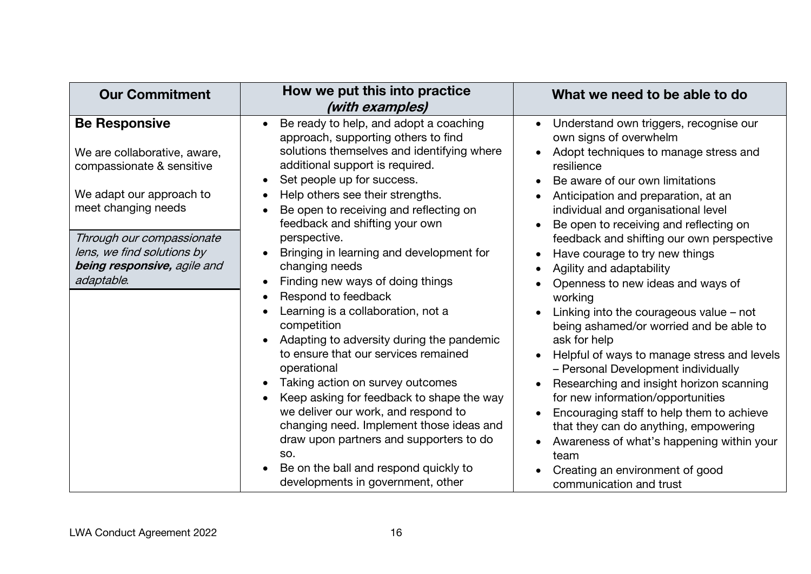| <b>Our Commitment</b>                                                                                                                                                                                                                        | How we put this into practice<br>(with examples)                                                                                                                                                                                                                                                                                                                                                                                                                                                                                                                                                                                                                                                                                                                                                                                                                                                                                                                                                                                                     | What we need to be able to do                                                                                                                                                                                                                                                                                                                                                                                                                                                                                                                                                                                                                                                                                                                                                                                                                                                                                                         |
|----------------------------------------------------------------------------------------------------------------------------------------------------------------------------------------------------------------------------------------------|------------------------------------------------------------------------------------------------------------------------------------------------------------------------------------------------------------------------------------------------------------------------------------------------------------------------------------------------------------------------------------------------------------------------------------------------------------------------------------------------------------------------------------------------------------------------------------------------------------------------------------------------------------------------------------------------------------------------------------------------------------------------------------------------------------------------------------------------------------------------------------------------------------------------------------------------------------------------------------------------------------------------------------------------------|---------------------------------------------------------------------------------------------------------------------------------------------------------------------------------------------------------------------------------------------------------------------------------------------------------------------------------------------------------------------------------------------------------------------------------------------------------------------------------------------------------------------------------------------------------------------------------------------------------------------------------------------------------------------------------------------------------------------------------------------------------------------------------------------------------------------------------------------------------------------------------------------------------------------------------------|
| <b>Be Responsive</b><br>We are collaborative, aware,<br>compassionate & sensitive<br>We adapt our approach to<br>meet changing needs<br>Through our compassionate<br>lens, we find solutions by<br>being responsive, agile and<br>adaptable. | Be ready to help, and adopt a coaching<br>$\bullet$<br>approach, supporting others to find<br>solutions themselves and identifying where<br>additional support is required.<br>Set people up for success.<br>$\bullet$<br>Help others see their strengths.<br>$\bullet$<br>Be open to receiving and reflecting on<br>$\bullet$<br>feedback and shifting your own<br>perspective.<br>Bringing in learning and development for<br>$\bullet$<br>changing needs<br>Finding new ways of doing things<br>$\bullet$<br>Respond to feedback<br>$\bullet$<br>Learning is a collaboration, not a<br>competition<br>Adapting to adversity during the pandemic<br>$\bullet$<br>to ensure that our services remained<br>operational<br>Taking action on survey outcomes<br>$\bullet$<br>Keep asking for feedback to shape the way<br>$\bullet$<br>we deliver our work, and respond to<br>changing need. Implement those ideas and<br>draw upon partners and supporters to do<br>SO.<br>Be on the ball and respond quickly to<br>developments in government, other | Understand own triggers, recognise our<br>own signs of overwhelm<br>Adopt techniques to manage stress and<br>resilience<br>Be aware of our own limitations<br>Anticipation and preparation, at an<br>individual and organisational level<br>Be open to receiving and reflecting on<br>feedback and shifting our own perspective<br>Have courage to try new things<br>Agility and adaptability<br>Openness to new ideas and ways of<br>working<br>Linking into the courageous value $-$ not<br>being ashamed/or worried and be able to<br>ask for help<br>Helpful of ways to manage stress and levels<br>- Personal Development individually<br>Researching and insight horizon scanning<br>for new information/opportunities<br>Encouraging staff to help them to achieve<br>that they can do anything, empowering<br>Awareness of what's happening within your<br>team<br>Creating an environment of good<br>communication and trust |